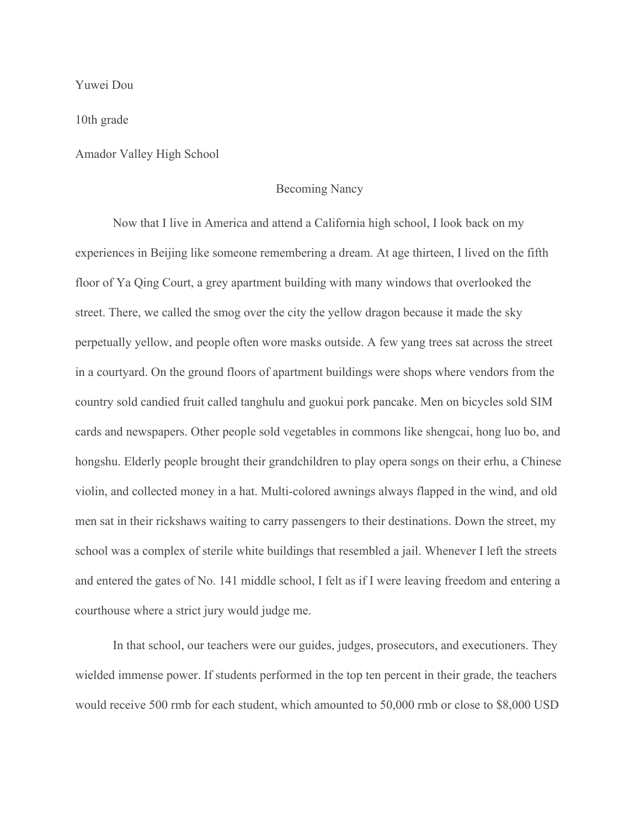Yuwei Dou

10th grade

Amador Valley High School

## Becoming Nancy

Now that I live in America and attend a California high school, I look back on my experiences in Beijing like someone remembering a dream. At age thirteen, I lived on the fifth floor of Ya Qing Court, a grey apartment building with many windows that overlooked the street. There, we called the smog over the city the yellow dragon because it made the sky perpetually yellow, and people often wore masks outside. A few yang trees sat across the street in a courtyard. On the ground floors of apartment buildings were shops where vendors from the country sold candied fruit called tanghulu and guokui pork pancake. Men on bicycles sold SIM cards and newspapers. Other people sold vegetables in commons like shengcai, hong luo bo, and hongshu. Elderly people brought their grandchildren to play opera songs on their erhu, a Chinese violin, and collected money in a hat. Multi-colored awnings always flapped in the wind, and old men sat in their rickshaws waiting to carry passengers to their destinations. Down the street, my school was a complex of sterile white buildings that resembled a jail. Whenever I left the streets and entered the gates of No. 141 middle school, I felt as if I were leaving freedom and entering a courthouse where a strict jury would judge me.

In that school, our teachers were our guides, judges, prosecutors, and executioners. They wielded immense power. If students performed in the top ten percent in their grade, the teachers would receive 500 rmb for each student, which amounted to 50,000 rmb or close to \$8,000 USD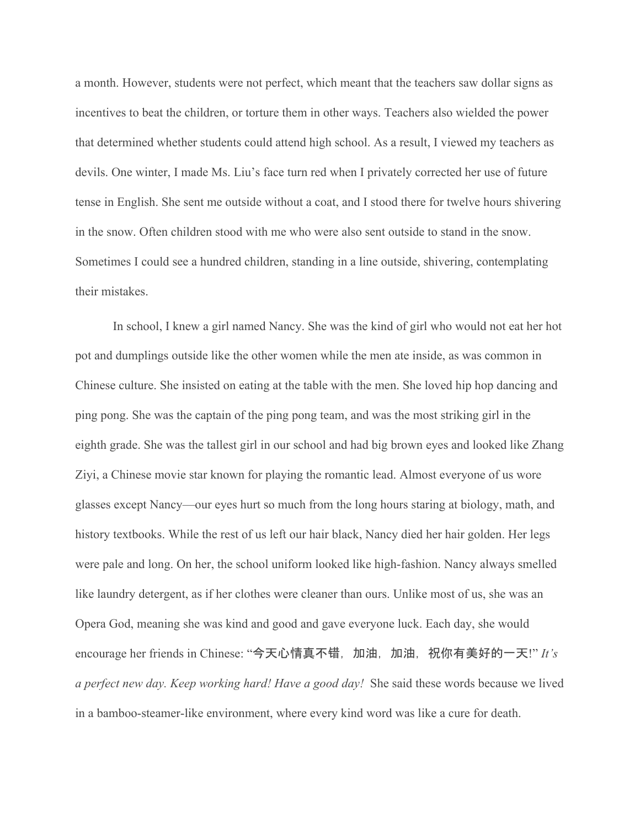a month. However, students were not perfect, which meant that the teachers saw dollar signs as incentives to beat the children, or torture them in other ways. Teachers also wielded the power that determined whether students could attend high school. As a result, I viewed my teachers as devils. One winter, I made Ms. Liu's face turn red when I privately corrected her use of future tense in English. She sent me outside without a coat, and I stood there for twelve hours shivering in the snow. Often children stood with me who were also sent outside to stand in the snow. Sometimes I could see a hundred children, standing in a line outside, shivering, contemplating their mistakes.

In school, I knew a girl named Nancy. She was the kind of girl who would not eat her hot pot and dumplings outside like the other women while the men ate inside, as was common in Chinese culture. She insisted on eating at the table with the men. She loved hip hop dancing and ping pong. She was the captain of the ping pong team, and was the most striking girl in the eighth grade. She was the tallest girl in our school and had big brown eyes and looked like Zhang Ziyi, a Chinese movie star known for playing the romantic lead. Almost everyone of us wore glasses except Nancy—our eyes hurt so much from the long hours staring at biology, math, and history textbooks. While the rest of us left our hair black, Nancy died her hair golden. Her legs were pale and long. On her, the school uniform looked like high-fashion. Nancy always smelled like laundry detergent, as if her clothes were cleaner than ours. Unlike most of us, she was an Opera God, meaning she was kind and good and gave everyone luck. Each day, she would encourage her friends in Chinese: "今天心情真不错, 加油, 加油, 祝你有美好的一天!" *It's a perfect new day. Keep working hard! Have a good day!* She said these words because we lived in a bamboo-steamer-like environment, where every kind word was like a cure for death.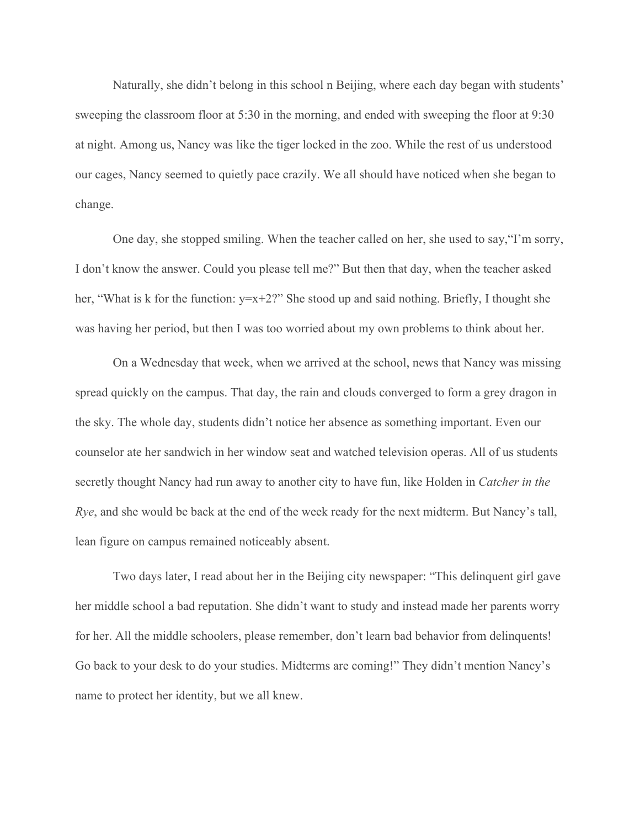Naturally, she didn't belong in this school n Beijing, where each day began with students' sweeping the classroom floor at 5:30 in the morning, and ended with sweeping the floor at 9:30 at night. Among us, Nancy was like the tiger locked in the zoo. While the rest of us understood our cages, Nancy seemed to quietly pace crazily. We all should have noticed when she began to change.

One day, she stopped smiling. When the teacher called on her, she used to say,"I'm sorry, I don't know the answer. Could you please tell me?" But then that day, when the teacher asked her, "What is k for the function: y=x+2?" She stood up and said nothing. Briefly, I thought she was having her period, but then I was too worried about my own problems to think about her.

On a Wednesday that week, when we arrived at the school, news that Nancy was missing spread quickly on the campus. That day, the rain and clouds converged to form a grey dragon in the sky. The whole day, students didn't notice her absence as something important. Even our counselor ate her sandwich in her window seat and watched television operas. All of us students secretly thought Nancy had run away to another city to have fun, like Holden in *Catcher in the Rye*, and she would be back at the end of the week ready for the next midterm. But Nancy's tall, lean figure on campus remained noticeably absent.

Two days later, I read about her in the Beijing city newspaper: "This delinquent girl gave her middle school a bad reputation. She didn't want to study and instead made her parents worry for her. All the middle schoolers, please remember, don't learn bad behavior from delinquents! Go back to your desk to do your studies. Midterms are coming!" They didn't mention Nancy's name to protect her identity, but we all knew.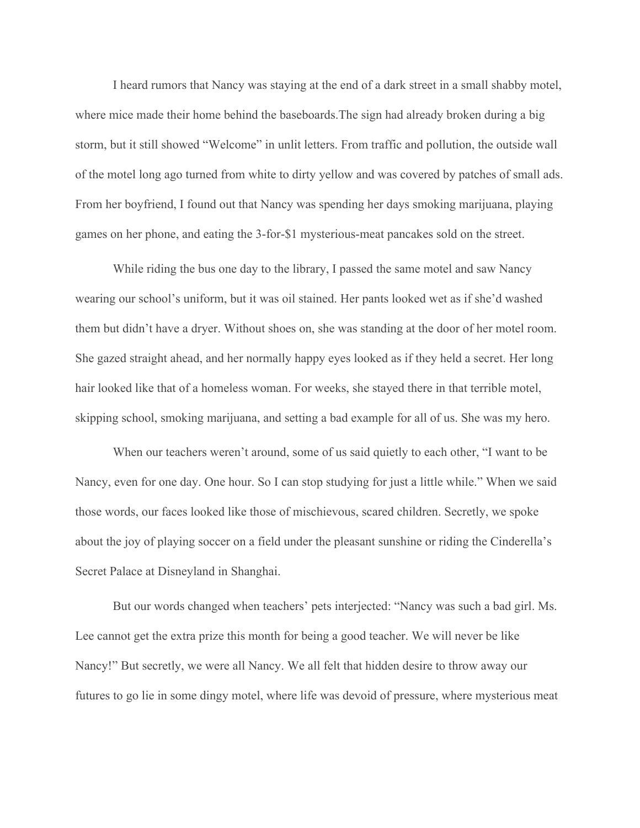I heard rumors that Nancy was staying at the end of a dark street in a small shabby motel, where mice made their home behind the baseboards.The sign had already broken during a big storm, but it still showed "Welcome" in unlit letters. From traffic and pollution, the outside wall of the motel long ago turned from white to dirty yellow and was covered by patches of small ads. From her boyfriend, I found out that Nancy was spending her days smoking marijuana, playing games on her phone, and eating the 3-for-\$1 mysterious-meat pancakes sold on the street.

While riding the bus one day to the library, I passed the same motel and saw Nancy wearing our school's uniform, but it was oil stained. Her pants looked wet as if she'd washed them but didn't have a dryer. Without shoes on, she was standing at the door of her motel room. She gazed straight ahead, and her normally happy eyes looked as if they held a secret. Her long hair looked like that of a homeless woman. For weeks, she stayed there in that terrible motel, skipping school, smoking marijuana, and setting a bad example for all of us. She was my hero.

When our teachers weren't around, some of us said quietly to each other, "I want to be Nancy, even for one day. One hour. So I can stop studying for just a little while." When we said those words, our faces looked like those of mischievous, scared children. Secretly, we spoke about the joy of playing soccer on a field under the pleasant sunshine or riding the Cinderella's Secret Palace at Disneyland in Shanghai.

But our words changed when teachers' pets interjected: "Nancy was such a bad girl. Ms. Lee cannot get the extra prize this month for being a good teacher. We will never be like Nancy!" But secretly, we were all Nancy. We all felt that hidden desire to throw away our futures to go lie in some dingy motel, where life was devoid of pressure, where mysterious meat